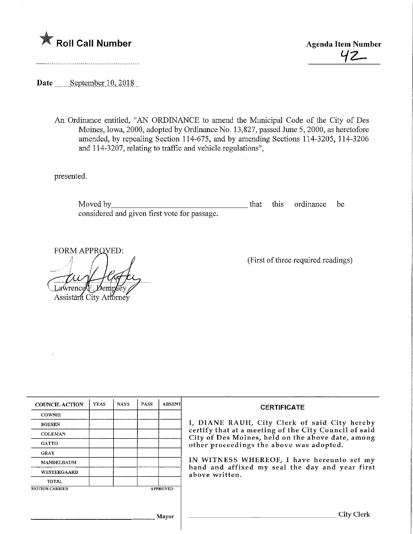

t/z-

Date September 10, 2018

......................................

An Ordinance entitled, "AN ORDINANCE to amend the Municipal Code of the City of Des Moines, Iowa, 2000, adopted by Ordinance No. 13,827, passed June 5, 2000, as heretofore amended, by repealing Section 114-675, and by amending Sections 114-3205, 114-3206 and 114-3207, relating to traffic and vehicle regulations",

presented.

Moved by that this ordinance be considered and given first vote for passage.

FORM APPROVED Lawrence )err Assistant City Attorney

(First of three required readings)

| <b>COUNCIL ACTION</b> | <b>YEAS</b> | <b>NAYS</b> | <b>PASS</b> | <b>ABSENT</b>   | <b>CERTIFICATE</b><br>I, DIANE RAUH, City Clerk of said City hereby                                        |  |  |
|-----------------------|-------------|-------------|-------------|-----------------|------------------------------------------------------------------------------------------------------------|--|--|
| <b>COWNIE</b>         |             |             |             |                 |                                                                                                            |  |  |
| <b>BOESEN</b>         |             |             |             |                 |                                                                                                            |  |  |
| <b>COLEMAN</b>        |             |             |             |                 | certify that at a meeting of the City Council of said<br>City of Des Moines, held on the above date, among |  |  |
| <b>GATTO</b>          |             |             |             |                 | other proceedings the above was adopted.                                                                   |  |  |
| <b>GRAY</b>           |             |             |             |                 | IN WITNESS WHEREOF, I have hereunto set my                                                                 |  |  |
| <b>MANDELBAUM</b>     |             |             |             |                 |                                                                                                            |  |  |
| <b>WESTERGAARD</b>    |             |             |             |                 | hand and affixed my seal the day and year first<br>above written.                                          |  |  |
| <b>TOTAL</b>          |             |             |             |                 |                                                                                                            |  |  |
| <b>MOTION CARRIED</b> |             |             |             | <b>APPROVED</b> |                                                                                                            |  |  |
|                       |             |             |             |                 |                                                                                                            |  |  |
|                       |             |             |             |                 | City Clerk                                                                                                 |  |  |
| Mavor                 |             |             |             |                 |                                                                                                            |  |  |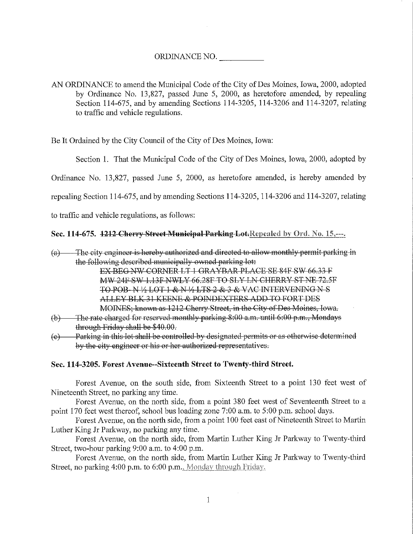# ORDINANCE NO.

AN ORDINANCE to amend the Municipal Code of the City of Des Moines, Iowa, 2000, adopted by Ordinance No. 13,827, passed June 5, 2000, as heretofore amended, by repealing Section 114-675, and by amending Sections 114-3205, 114-3206 and 114-3207, relating to traffic and vehicle regulations.

Be It Ordained by the City Council of the City of Des Moines, Iowa:

Section 1. That the Municipal Code of the City of Des Moines, Iowa, 2000, adopted by

Ordinance No. 13,827, passed June 5, 2000, as heretofore amended, is hereby amended by

repealing Section 114-675, and by amending Sections 114-3205,1 14-3206 and 114-3207, relating

to traffic and vehicle regulations, as follows:

# Sec. 114-675. 1212 Cherry Street Municipal Parking Lot. Repealed by Ord. No. 15,---.

(a)—The city engineer is hereby authorized and directed to allow monthly permit parking in the following described municipally owned parking lot:

EX BEG NW CORNER LT 1 GRAYBAR PLACE SE 84F SW 66.33 F MW 24F SW 1.13F NWLY 66.28F TO SLY LN CHERRY ST NE 72.5F TO POB-N 1/2 LOT 1 & N 1/2 LTS 2 & 3 & VAC INTERVENING N S ALLEY BLK 31 KEENE & POINDEXTERS ADD TO FORT DES MOINES; known as 1212 Cherry Street, in the City of Des Moines, Iowa.

- (b)—The rate charged for reserved monthly parking 8:00 a.m. until 6:00 p.m., Mondays through Friday shall be \$40.00.
- $(c)$  Parking in this lot shall be controlled by designated permits or as otherwise determined by the city engineer or his or her authorized representatives.

# Sec. 114-3205. Forest Avenue--Sixteenth Street to Twenty-third Street.

Forest Avenue, on the south side, from Sixteenth Street to a point 130 feet west of Nineteenth Street, no parking any time.

Forest Avenue, on the north side, from a point 380 feet west of Seventeenth Street to a point 170 feet west thereof, school bus loading zone 7:00 a.m. to 5:00 p.m. school days.

Forest Avenue, on the north side, from a point 100 feet east of Nineteenth Street to Martin Luther King Jr Parkway, no parking any time.

Forest Avenue, on the north side, from Martin Luther King Jr Parkway to Twenty-third Street, two-honr parking 9:00 a.m. to 4:00 p.m.

Forest Avenue, on the north side, from Martin Luther King Jr Parkway to Twenty-third Street, no parking  $4:00$  p.m. to  $6:00$  p.m., Monday through Friday.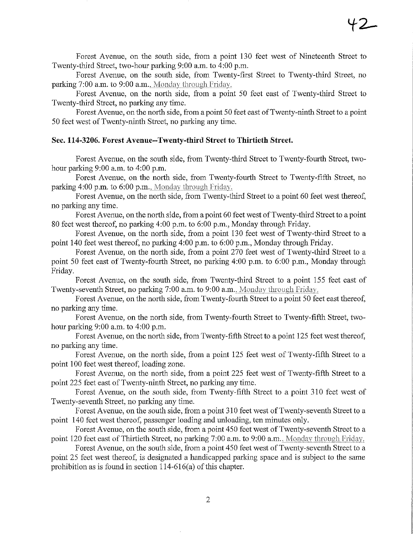Forest Avenue, on the south side, from a point 130 feet west of Nineteenth Street to Twenty-third Street, two-hour parking 9:00 a.m. to 4:00 p.m.

Forest Avenue, on the south side, from Twenty-first Street to Twenty-third Street, no parking  $7:00$  a.m. to  $9:00$  a.m., Monday through Friday.

Forest Avenue, on the north side, from a point 50 feet east of Twenty-third Street to Twenty-fhird Street, no parking any time.

Forest Avenue, on the north side, from a point 50 feet east of Twenty-ninth Street to a point 50 feet west ofTwenty-ninth Steeet, no parking any time.

#### Sec. 114-3206. Forest Avenue-Twenty-third Street to Thirtieth Street.

Forest Avenue, on the south side, from Twenty-third Street to Twenty-fourth Street, twohour parking 9:00 a.m. to 4:00 p.m.

Forest Avenue, on the north side, from Twenty-fourth Street to Twenty-fifth Street, no parking 4:00 p.m. to  $6:00$  p.m., Monday through Friday.

Forest Avenue, on the north side, from Twenty-third Street to a point 60 feet west thereof, no parking any time.

Forest Avenue, on the north side, from a point 60 feet west of Twenty-third Street to a point 80 feet west thereof, no parking 4:00 p.m. to 6:00 p.m., Monday through Friday.

Forest Avenue, on the north side, from a point 130 feet west of Twenty-third Street to a point 140 feet west thereof, no parking 4:00 p.m. to 6:00 p.m., Monday through Friday.

Forest Avenue, on the north side, from a point 270 feet west of Twenty-thlrd Street to a point 50 feet east of Twenty-fourth Street, no parking 4:00 p.m. to 6:00 p.m., Monday through Friday.

Forest Avenue, on the south side, from Twenty-third Street to a point 155 feet east of Twenty-seventh Street, no parking 7:00 a.m. to 9:00 a.m., Monday through Friday.

Forest Avenue, on the north side, from Twenty-fourth Street to a point 50 feet east thereof, no parking any time.

Forest Avenue, on the north side, from Twenty-fourth Street to Twenty-fifth Street, twohour parking 9:00 a.m. to 4:00 p.m.

Forest Avenue, on the north side, from Twenty-fifth Street to a point 125 feet west thereof, no parking any time.

Forest Avenue, on the north side, from a point 125 feet west of Twenty-fifth Street to a point 100 feet west thereof, loading zone.

Forest Avenue, on the north side, from a point 225 feet west of Twenty-fifth Street to a point 225 feet east of Twenty-ninth Street, no parking any time.

Forest Avenue, on the south side, from Twenty-fifth Street to a point 310 feet west of Twenty-seventh Street, no parking any time.

Forest Avenue, on the south side, from a point 310 feet west of Twenty-seventh Street to a point 140 feet west thereof, passenger loading and unloading, ten minutes only.

Forest Avenue, on the south side, from a point 450 feet west of Twenty-seventh Street to a point 120 feet east of Thirtieth Street, no parking 7:00 a.m. to 9:00 a.m.. Monday through Friday.

Forest Avenue, on the south side, from a point 450 feet west of Twenty-seventh Street to a point 25 feet west thereof, is designated a handicapped parking space and is subject to the same prohibition as is found in section 114-616(a) of this chapter.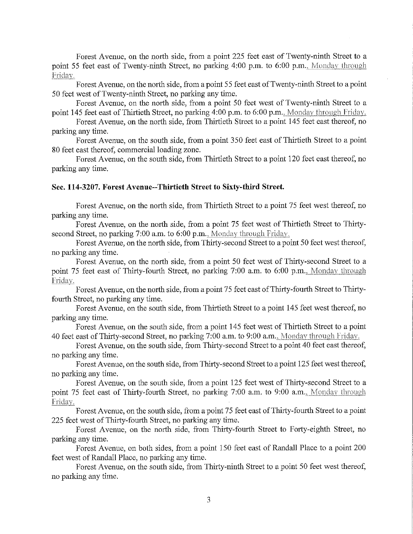Forest Avenue, on the north side, from a point 225 feet east of Twenty-ninth Street to a point 55 feet east of Twenty-ninth Street, no parking 4:00 p.m. to 6:00 p.m., Monday through Friday.

Forest Avenue, on the north side, from a point 55 feet east of Twenty-ninth Street to a point 50 feet west of Twenty-ninth Street, no parking any time.

Forest Avenue, on the north side, from a point 50 feet west of Twenty-ninth Street to a point 145 feet east of Thirtieth Street, no parking 4:00 p.m. to 6:00 p.m., Monday through Friday.

Forest Avenue, on the north side, from Thirtieth Street to a point 145 feet east thereof, no parking any time.

Forest Avenue, on the south side, from a point 350 feet east of Thirtieth Street to a point 80 feet east thereof, commercial loading zone.

Forest Avenue, on the south side, from Thirtieth Street to a point 120 feet east thereof, no parking any time.

#### Sec. 114-3207. Forest Avenue-Thirtieth Street to Sixfy-third Street.

Forest Avenue, on the north side, from Thirtieth Street to a point 75 feet west thereof, no parking any time.

Forest Avenue, on the north side, from a point 75 feet west of Thirtieth Street to Thirtysecond Street, no parking 7:00 a.m. to 6:00 p.m., Monday through Friday.

Forest Avenue, on the north side, from Thirty-second Street to a point 50 feet west thereof, no parking any time.

Forest Avenue, on the north side, from a point 50 feet west of Thirty-second Street to a point 75 feet east of Thirty-fourth Street, no parking 7:00 a.m. to 6:00 p.m., Monday through Friday.

Forest Avenue, on the north side, from a point 75 feet east of Thirty-fourth Street to Thirtyfourth Street, no parking any time.

Forest Avenue, on the south side, from Thirtieth Street to a point 145 feet west thereof, no parking any time.

Forest Avenue, on the south side, from a point 145 feet west of Thirtieth Street to a point 40 feet east of Thirty-second Street, no parking 7:00 a.m. to 9:00 a.m., Monday through Friday.

Forest Avenue, on the south side, from Thirty-second Street to a point 40 feet east thereof, no parking any time.

Forest Avenue, on the south side, from Thirty-second Street to a point 125 feet west thereof, no parking any time.

Forest Avenue, on the south side, from a point 125 feet west of Thirty-second Street to a point 75 feet east of Thirty-fourth Street, no parking 7:00 a.m. to 9:00 a.m., Monday through Friday.

Forest Avenue, on the south side, from a point 75 feet east of Thirty-fourth Street to a point 225 feet west of Thirty-fourth Street, no parking any time.

Forest Avenue, on the north side, from Thirty-fourth Street to Forty-eighth Street, no parking any time.

Forest Avenue, on both sides, from a point 150 feet east of Randall Place to a point 200 feet west of Randall Place, no parking any time.

Forest Avenue, on the south side, from Thirty-ninth Street to a point 50 feet west thereof, no parking any time.